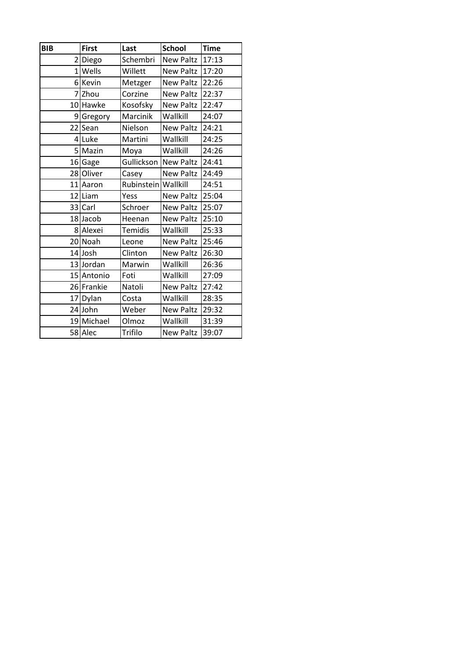| <b>BIB</b>      | <b>First</b> | Last              | <b>School</b>    | <b>Time</b> |
|-----------------|--------------|-------------------|------------------|-------------|
| $\overline{2}$  | Diego        | Schembri          | <b>New Paltz</b> | 17:13       |
| 1               | Wells        | Willett           | New Paltz        | 17:20       |
| 6               | Kevin        | Metzger           | New Paltz        | 22:26       |
| 7               | Zhou         | Corzine           | New Paltz        | 22:37       |
| 10              | Hawke        | Kosofsky          | <b>New Paltz</b> | 22:47       |
| 9               | Gregory      | Marcinik          | Wallkill         | 24:07       |
| 22              | Sean         | Nielson           | <b>New Paltz</b> | 24:21       |
| $\vert 4 \vert$ | Luke         | Martini           | Wallkill         | 24:25       |
| 5 <sup>1</sup>  | Mazin        | Moya              | Wallkill         | 24:26       |
| 16              | Gage         | <b>Gullickson</b> | <b>New Paltz</b> | 24:41       |
|                 | 28 Oliver    | Casey             | New Paltz        | 24:49       |
|                 | 11 Aaron     | Rubinstein        | Wallkill         | 24:51       |
| 12              | Liam         | Yess              | <b>New Paltz</b> | 25:04       |
| 33              | Carl         | Schroer           | <b>New Paltz</b> | 25:07       |
|                 | 18Jacob      | Heenan            | <b>New Paltz</b> | 25:10       |
|                 | 8 Alexei     | <b>Temidis</b>    | Wallkill         | 25:33       |
|                 | 20 Noah      | Leone             | <b>New Paltz</b> | 25:46       |
|                 | 14 Josh      | Clinton           | <b>New Paltz</b> | 26:30       |
|                 | 13 Jordan    | Marwin            | Wallkill         | 26:36       |
|                 | 15 Antonio   | Foti              | Wallkill         | 27:09       |
|                 | 26 Frankie   | Natoli            | <b>New Paltz</b> | 27:42       |
| 17              | Dylan        | Costa             | Wallkill         | 28:35       |
|                 | 24 John      | Weber             | New Paltz        | 29:32       |
|                 | 19 Michael   | Olmoz             | Wallkill         | 31:39       |
|                 | 58 Alec      | Trifilo           | <b>New Paltz</b> | 39:07       |